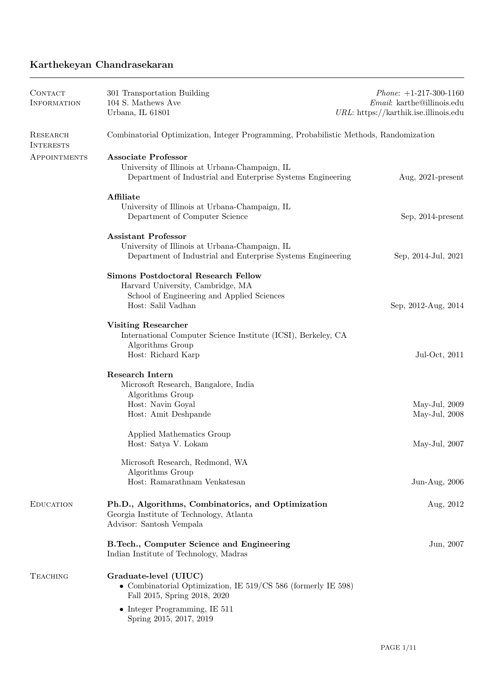# Karthekeyan Chandrasekaran

| <b>CONTACT</b><br><b>INFORMATION</b> | 301 Transportation Building<br>104 S. Mathews Ave<br>Urbana, IL 61801                                                                               | <i>Phone</i> : $+1-217-300-1160$<br>Email: karthe@illinois.edu<br>$URL: \text{https://karthik.ise.illinois.edu})$ |
|--------------------------------------|-----------------------------------------------------------------------------------------------------------------------------------------------------|-------------------------------------------------------------------------------------------------------------------|
| RESEARCH<br><b>INTERESTS</b>         | Combinatorial Optimization, Integer Programming, Probabilistic Methods, Randomization                                                               |                                                                                                                   |
| APPOINTMENTS                         | <b>Associate Professor</b><br>University of Illinois at Urbana-Champaign, IL<br>Department of Industrial and Enterprise Systems Engineering         | Aug, $2021$ -present                                                                                              |
|                                      | Affiliate<br>University of Illinois at Urbana-Champaign, IL<br>Department of Computer Science                                                       | Sep, 2014-present                                                                                                 |
|                                      | <b>Assistant Professor</b><br>University of Illinois at Urbana-Champaign, IL<br>Department of Industrial and Enterprise Systems Engineering         | Sep, 2014-Jul, 2021                                                                                               |
|                                      | <b>Simons Postdoctoral Research Fellow</b><br>Harvard University, Cambridge, MA<br>School of Engineering and Applied Sciences<br>Host: Salil Vadhan | Sep, 2012-Aug, 2014                                                                                               |
|                                      | <b>Visiting Researcher</b><br>International Computer Science Institute (ICSI), Berkeley, CA<br>Algorithms Group<br>Host: Richard Karp               | Jul-Oct, 2011                                                                                                     |
|                                      | Research Intern<br>Microsoft Research, Bangalore, India<br>Algorithms Group<br>Host: Navin Goyal<br>Host: Amit Deshpande                            | May-Jul, $2009$<br>May-Jul, 2008                                                                                  |
|                                      | Applied Mathematics Group<br>Host: Satya V. Lokam                                                                                                   | May-Jul, $2007$                                                                                                   |
|                                      | Microsoft Research, Redmond, WA<br>Algorithms Group<br>Host: Ramarathnam Venkatesan                                                                 | Jun-Aug, 2006                                                                                                     |
| <b>EDUCATION</b>                     | Ph.D., Algorithms, Combinatorics, and Optimization<br>Georgia Institute of Technology, Atlanta<br>Advisor: Santosh Vempala                          | Aug, 2012                                                                                                         |
|                                      | B.Tech., Computer Science and Engineering<br>Indian Institute of Technology, Madras                                                                 | Jun, 2007                                                                                                         |
| <b>TEACHING</b>                      | Graduate-level (UIUC)<br>• Combinatorial Optimization, IE $519/CS$ 586 (formerly IE 598)<br>Fall 2015, Spring 2018, 2020                            |                                                                                                                   |
|                                      | $\bullet$ Integer Programming, IE 511<br>Spring 2015, 2017, 2019                                                                                    |                                                                                                                   |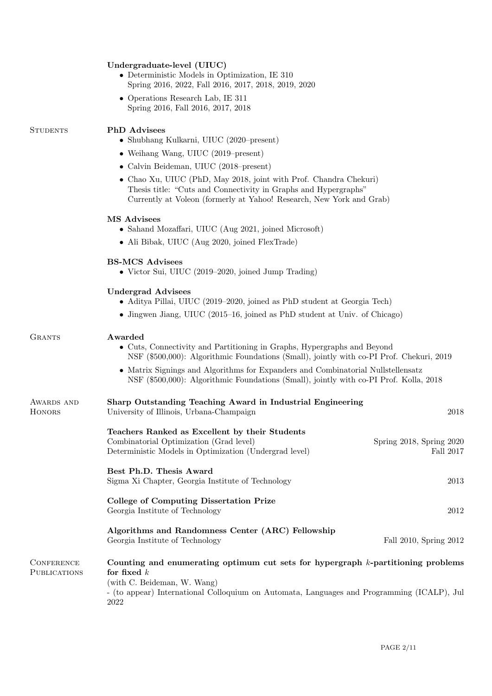|                                                                                                                                                                                                 | Undergraduate-level (UIUC)<br>$\bullet$ Deterministic Models in Optimization, IE 310<br>Spring 2016, 2022, Fall 2016, 2017, 2018, 2019, 2020                                                                 |                                       |
|-------------------------------------------------------------------------------------------------------------------------------------------------------------------------------------------------|--------------------------------------------------------------------------------------------------------------------------------------------------------------------------------------------------------------|---------------------------------------|
|                                                                                                                                                                                                 | • Operations Research Lab, IE 311<br>Spring 2016, Fall 2016, 2017, 2018                                                                                                                                      |                                       |
| <b>STUDENTS</b>                                                                                                                                                                                 | <b>PhD</b> Advisees<br>• Shubhang Kulkarni, UIUC $(2020\text{-present})$                                                                                                                                     |                                       |
|                                                                                                                                                                                                 | • Weihang Wang, UIUC $(2019$ –present)                                                                                                                                                                       |                                       |
|                                                                                                                                                                                                 | • Calvin Beideman, UIUC (2018–present)                                                                                                                                                                       |                                       |
|                                                                                                                                                                                                 | • Chao Xu, UIUC (PhD, May 2018, joint with Prof. Chandra Chekuri)<br>Thesis title: "Cuts and Connectivity in Graphs and Hypergraphs"<br>Currently at Voleon (formerly at Yahoo! Research, New York and Grab) |                                       |
|                                                                                                                                                                                                 | <b>MS Advisees</b><br>• Sahand Mozaffari, UIUC (Aug 2021, joined Microsoft)                                                                                                                                  |                                       |
|                                                                                                                                                                                                 | • Ali Bibak, UIUC (Aug 2020, joined FlexTrade)                                                                                                                                                               |                                       |
|                                                                                                                                                                                                 | <b>BS-MCS Advisees</b><br>• Victor Sui, UIUC $(2019-2020, \text{joined Jump Trading})$                                                                                                                       |                                       |
|                                                                                                                                                                                                 | <b>Undergrad Advisees</b><br>• Aditya Pillai, UIUC (2019–2020, joined as PhD student at Georgia Tech)                                                                                                        |                                       |
|                                                                                                                                                                                                 | • Jingwen Jiang, UIUC (2015–16, joined as PhD student at Univ. of Chicago)                                                                                                                                   |                                       |
| <b>GRANTS</b><br>Awarded<br>• Cuts, Connectivity and Partitioning in Graphs, Hypergraphs and Beyond<br>NSF (\$500,000): Algorithmic Foundations (Small), jointly with co-PI Prof. Chekuri, 2019 |                                                                                                                                                                                                              |                                       |
|                                                                                                                                                                                                 | • Matrix Signings and Algorithms for Expanders and Combinatorial Nullstellensatz<br>NSF (\$500,000): Algorithmic Foundations (Small), jointly with co-PI Prof. Kolla, 2018                                   |                                       |
| AWARDS AND<br><b>HONORS</b>                                                                                                                                                                     | Sharp Outstanding Teaching Award in Industrial Engineering<br>University of Illinois, Urbana-Champaign                                                                                                       | 2018                                  |
|                                                                                                                                                                                                 | Teachers Ranked as Excellent by their Students<br>Combinatorial Optimization (Grad level)<br>Deterministic Models in Optimization (Undergrad level)                                                          | Spring 2018, Spring 2020<br>Fall 2017 |
|                                                                                                                                                                                                 | Best Ph.D. Thesis Award<br>Sigma Xi Chapter, Georgia Institute of Technology                                                                                                                                 | 2013                                  |
|                                                                                                                                                                                                 | College of Computing Dissertation Prize<br>Georgia Institute of Technology                                                                                                                                   | 2012                                  |
|                                                                                                                                                                                                 | Algorithms and Randomness Center (ARC) Fellowship<br>Georgia Institute of Technology                                                                                                                         | Fall 2010, Spring 2012                |
| <b>CONFERENCE</b><br><b>PUBLICATIONS</b>                                                                                                                                                        | Counting and enumerating optimum cut sets for hypergraph $k$ -partitioning problems<br>for fixed $k$                                                                                                         |                                       |
|                                                                                                                                                                                                 | (with C. Beideman, W. Wang)<br>- (to appear) International Colloquium on Automata, Languages and Programming (ICALP), Jul<br>2022                                                                            |                                       |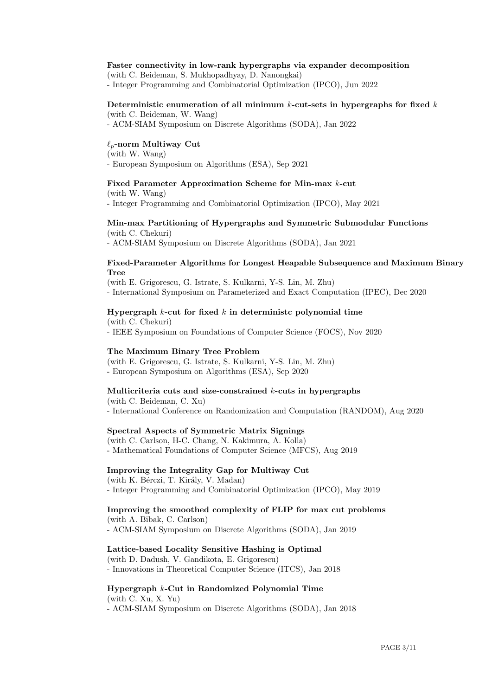### Faster connectivity in low-rank hypergraphs via expander decomposition

(with C. Beideman, S. Mukhopadhyay, D. Nanongkai) - Integer Programming and Combinatorial Optimization (IPCO), Jun 2022

### Deterministic enumeration of all minimum  $k$ -cut-sets in hypergraphs for fixed  $k$ (with C. Beideman, W. Wang)

- ACM-SIAM Symposium on Discrete Algorithms (SODA), Jan 2022

### $\ell_p$ -norm Multiway Cut

(with W. Wang) - European Symposium on Algorithms (ESA), Sep 2021

### Fixed Parameter Approximation Scheme for Min-max k-cut

(with W. Wang) - Integer Programming and Combinatorial Optimization (IPCO), May 2021

### Min-max Partitioning of Hypergraphs and Symmetric Submodular Functions (with C. Chekuri)

- ACM-SIAM Symposium on Discrete Algorithms (SODA), Jan 2021

### Fixed-Parameter Algorithms for Longest Heapable Subsequence and Maximum Binary Tree

(with E. Grigorescu, G. Istrate, S. Kulkarni, Y-S. Lin, M. Zhu) - International Symposium on Parameterized and Exact Computation (IPEC), Dec 2020

### Hypergraph  $k$ -cut for fixed  $k$  in deterministe polynomial time

(with C. Chekuri) - IEEE Symposium on Foundations of Computer Science (FOCS), Nov 2020

### The Maximum Binary Tree Problem

(with E. Grigorescu, G. Istrate, S. Kulkarni, Y-S. Lin, M. Zhu) - European Symposium on Algorithms (ESA), Sep 2020

### Multicriteria cuts and size-constrained k-cuts in hypergraphs

(with C. Beideman, C. Xu) - International Conference on Randomization and Computation (RANDOM), Aug 2020

### Spectral Aspects of Symmetric Matrix Signings

(with C. Carlson, H-C. Chang, N. Kakimura, A. Kolla) - Mathematical Foundations of Computer Science (MFCS), Aug 2019

### Improving the Integrality Gap for Multiway Cut

(with K. Bérczi, T. Király, V. Madan) - Integer Programming and Combinatorial Optimization (IPCO), May 2019

# Improving the smoothed complexity of FLIP for max cut problems

(with A. Bibak, C. Carlson) - ACM-SIAM Symposium on Discrete Algorithms (SODA), Jan 2019

### Lattice-based Locality Sensitive Hashing is Optimal

(with D. Dadush, V. Gandikota, E. Grigorescu) - Innovations in Theoretical Computer Science (ITCS), Jan 2018

### Hypergraph k-Cut in Randomized Polynomial Time

(with C. Xu, X. Yu) - ACM-SIAM Symposium on Discrete Algorithms (SODA), Jan 2018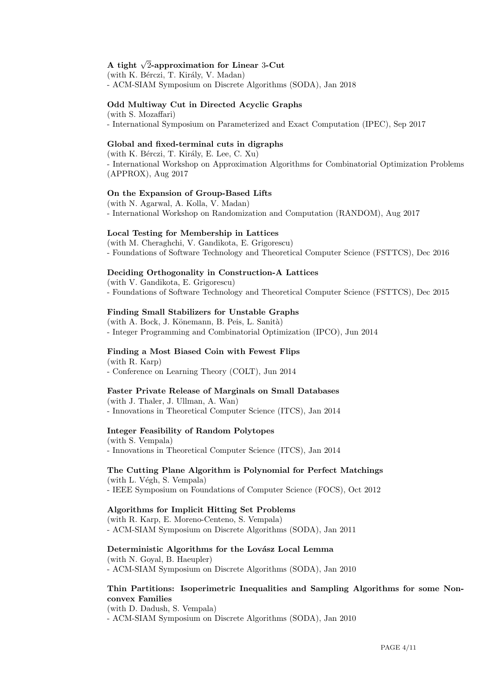# A tight  $\sqrt{2}$ -approximation for Linear 3-Cut

(with K. Bérczi, T. Király, V. Madan) - ACM-SIAM Symposium on Discrete Algorithms (SODA), Jan 2018

### Odd Multiway Cut in Directed Acyclic Graphs

(with S. Mozaffari) - International Symposium on Parameterized and Exact Computation (IPEC), Sep 2017

### Global and fixed-terminal cuts in digraphs

(with K. Bérczi, T. Király, E. Lee, C. Xu) - International Workshop on Approximation Algorithms for Combinatorial Optimization Problems (APPROX), Aug 2017

### On the Expansion of Group-Based Lifts

(with N. Agarwal, A. Kolla, V. Madan) - International Workshop on Randomization and Computation (RANDOM), Aug 2017

### Local Testing for Membership in Lattices

(with M. Cheraghchi, V. Gandikota, E. Grigorescu) - Foundations of Software Technology and Theoretical Computer Science (FSTTCS), Dec 2016

### Deciding Orthogonality in Construction-A Lattices

(with V. Gandikota, E. Grigorescu) - Foundations of Software Technology and Theoretical Computer Science (FSTTCS), Dec 2015

### Finding Small Stabilizers for Unstable Graphs

 $(with A. Bock, J. Könemann, B. Peis, L. Sanità)$ - Integer Programming and Combinatorial Optimization (IPCO), Jun 2014

### Finding a Most Biased Coin with Fewest Flips

(with R. Karp) - Conference on Learning Theory (COLT), Jun 2014

### Faster Private Release of Marginals on Small Databases

(with J. Thaler, J. Ullman, A. Wan) - Innovations in Theoretical Computer Science (ITCS), Jan 2014

### Integer Feasibility of Random Polytopes

(with S. Vempala) - Innovations in Theoretical Computer Science (ITCS), Jan 2014

### The Cutting Plane Algorithm is Polynomial for Perfect Matchings

 $(with L. Végh, S. Vempala)$ - IEEE Symposium on Foundations of Computer Science (FOCS), Oct 2012

### Algorithms for Implicit Hitting Set Problems

(with R. Karp, E. Moreno-Centeno, S. Vempala)

- ACM-SIAM Symposium on Discrete Algorithms (SODA), Jan 2011

### Deterministic Algorithms for the Lovász Local Lemma

(with N. Goyal, B. Haeupler) - ACM-SIAM Symposium on Discrete Algorithms (SODA), Jan 2010

### Thin Partitions: Isoperimetric Inequalities and Sampling Algorithms for some Nonconvex Families

(with D. Dadush, S. Vempala) - ACM-SIAM Symposium on Discrete Algorithms (SODA), Jan 2010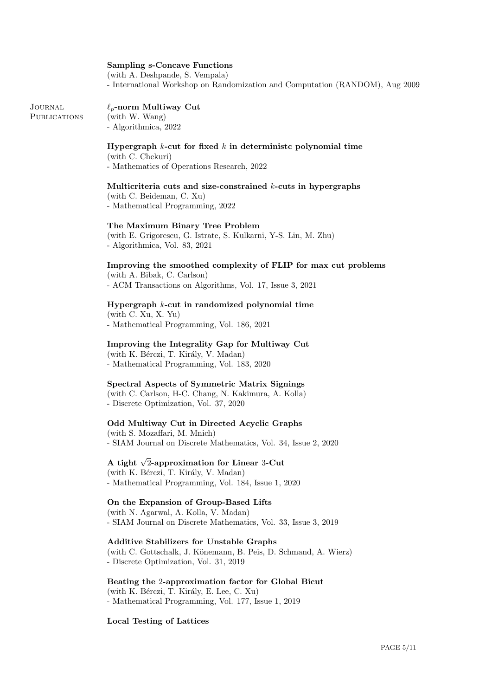### Sampling s-Concave Functions

(with A. Deshpande, S. Vempala) - International Workshop on Randomization and Computation (RANDOM), Aug 2009

#### Journal **PUBLICATIONS**  $\ell_p$ -norm Multiway Cut (with W. Wang) - Algorithmica, 2022

## Hypergraph  $k$ -cut for fixed  $k$  in deterministc polynomial time

(with C. Chekuri) - Mathematics of Operations Research, 2022

### Multicriteria cuts and size-constrained  $k$ -cuts in hypergraphs (with C. Beideman, C. Xu)

- Mathematical Programming, 2022

### The Maximum Binary Tree Problem

(with E. Grigorescu, G. Istrate, S. Kulkarni, Y-S. Lin, M. Zhu) - Algorithmica, Vol. 83, 2021

## Improving the smoothed complexity of FLIP for max cut problems

(with A. Bibak, C. Carlson) - ACM Transactions on Algorithms, Vol. 17, Issue 3, 2021

### Hypergraph k-cut in randomized polynomial time

(with C. Xu, X. Yu) - Mathematical Programming, Vol. 186, 2021

### Improving the Integrality Gap for Multiway Cut

(with K. Bérczi, T. Király, V. Madan) - Mathematical Programming, Vol. 183, 2020

### Spectral Aspects of Symmetric Matrix Signings

(with C. Carlson, H-C. Chang, N. Kakimura, A. Kolla) - Discrete Optimization, Vol. 37, 2020

### Odd Multiway Cut in Directed Acyclic Graphs

(with S. Mozaffari, M. Mnich) - SIAM Journal on Discrete Mathematics, Vol. 34, Issue 2, 2020

# A tight  $\sqrt{2}$ -approximation for Linear 3-Cut

(with K. Bérczi, T. Király, V. Madan) - Mathematical Programming, Vol. 184, Issue 1, 2020

### On the Expansion of Group-Based Lifts

(with N. Agarwal, A. Kolla, V. Madan) - SIAM Journal on Discrete Mathematics, Vol. 33, Issue 3, 2019

Additive Stabilizers for Unstable Graphs (with C. Gottschalk, J. Könemann, B. Peis, D. Schmand, A. Wierz) - Discrete Optimization, Vol. 31, 2019

### Beating the 2-approximation factor for Global Bicut

(with K. Bérczi, T. Király, E. Lee, C. Xu) - Mathematical Programming, Vol. 177, Issue 1, 2019

### Local Testing of Lattices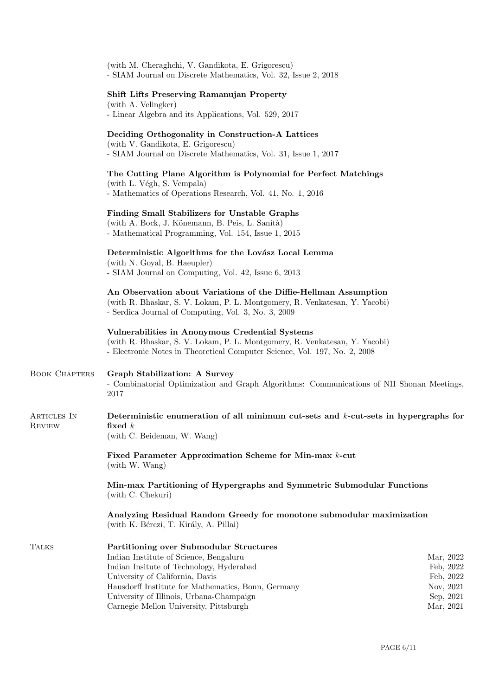(with M. Cheraghchi, V. Gandikota, E. Grigorescu) - SIAM Journal on Discrete Mathematics, Vol. 32, Issue 2, 2018

### Shift Lifts Preserving Ramanujan Property

(with A. Velingker) - Linear Algebra and its Applications, Vol. 529, 2017

### Deciding Orthogonality in Construction-A Lattices

(with V. Gandikota, E. Grigorescu) - SIAM Journal on Discrete Mathematics, Vol. 31, Issue 1, 2017

### The Cutting Plane Algorithm is Polynomial for Perfect Matchings

(with L. Végh, S. Vempala) - Mathematics of Operations Research, Vol. 41, No. 1, 2016

### Finding Small Stabilizers for Unstable Graphs

(with A. Bock, J. Könemann, B. Peis, L. Sanità) - Mathematical Programming, Vol. 154, Issue 1, 2015

## Deterministic Algorithms for the Lovász Local Lemma

(with N. Goyal, B. Haeupler) - SIAM Journal on Computing, Vol. 42, Issue 6, 2013

An Observation about Variations of the Diffie-Hellman Assumption (with R. Bhaskar, S. V. Lokam, P. L. Montgomery, R. Venkatesan, Y. Yacobi) - Serdica Journal of Computing, Vol. 3, No. 3, 2009

### Vulnerabilities in Anonymous Credential Systems (with R. Bhaskar, S. V. Lokam, P. L. Montgomery, R. Venkatesan, Y. Yacobi) - Electronic Notes in Theoretical Computer Science, Vol. 197, No. 2, 2008

| <b>BOOK CHAPTERS</b>  | <b>Graph Stabilization: A Survey</b><br>- Combinatorial Optimization and Graph Algorithms: Communications of NII Shonan Meetings,<br>2017 |
|-----------------------|-------------------------------------------------------------------------------------------------------------------------------------------|
| ARTICLES IN<br>REVIEW | Deterministic enumeration of all minimum cut-sets and $k$ -cut-sets in hypergraphs for<br>fixed $k$<br>(with C. Beideman, W. Wang)        |
|                       | Fixed Parameter Approximation Scheme for Min-max k-cut<br>(with W. Wang)                                                                  |
|                       | Min-max Partitioning of Hypergraphs and Symmetric Submodular Functions<br>(with C. Chekuri)                                               |
|                       | Analyzing Residual Random Greedy for monotone submodular maximization<br>(with K. Bérczi, T. Király, A. Pillai)                           |

| TALKS | Partitioning over Submodular Structures            |           |
|-------|----------------------------------------------------|-----------|
|       | Indian Institute of Science, Bengaluru             | Mar, 2022 |
|       | Indian Insitute of Technology, Hyderabad           | Feb, 2022 |
|       | University of California, Davis                    | Feb. 2022 |
|       | Hausdorff Institute for Mathematics, Bonn, Germany | Nov. 2021 |
|       | University of Illinois, Urbana-Champaign           | Sep. 2021 |
|       | Carnegie Mellon University, Pittsburgh             | Mar, 2021 |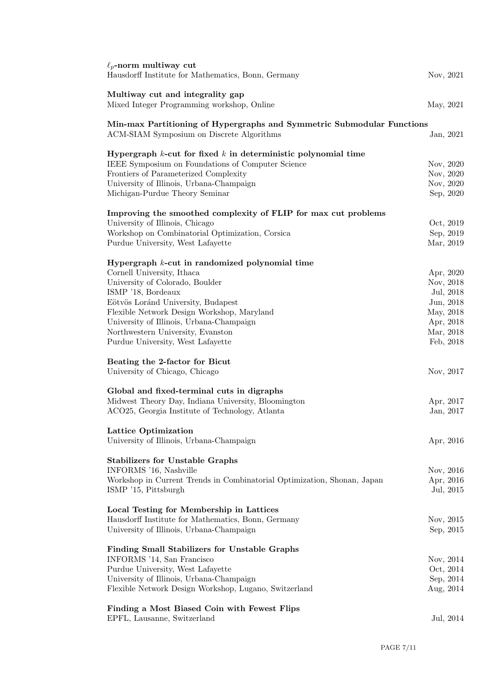| $\ell_p$ -norm multiway cut<br>Hausdorff Institute for Mathematics, Bonn, Germany                                   | Nov, 2021 |
|---------------------------------------------------------------------------------------------------------------------|-----------|
| Multiway cut and integrality gap                                                                                    |           |
| Mixed Integer Programming workshop, Online                                                                          | May, 2021 |
| Min-max Partitioning of Hypergraphs and Symmetric Submodular Functions<br>ACM-SIAM Symposium on Discrete Algorithms | Jan, 2021 |
| Hypergraph $k$ -cut for fixed $k$ in deterministic polynomial time                                                  |           |
| IEEE Symposium on Foundations of Computer Science                                                                   | Nov, 2020 |
| Frontiers of Parameterized Complexity                                                                               | Nov, 2020 |
| University of Illinois, Urbana-Champaign                                                                            | Nov, 2020 |
| Michigan-Purdue Theory Seminar                                                                                      | Sep, 2020 |
| Improving the smoothed complexity of FLIP for max cut problems                                                      |           |
| University of Illinois, Chicago                                                                                     | Oct, 2019 |
| Workshop on Combinatorial Optimization, Corsica                                                                     | Sep, 2019 |
| Purdue University, West Lafayette                                                                                   | Mar, 2019 |
| Hypergraph $k$ -cut in randomized polynomial time                                                                   |           |
| Cornell University, Ithaca                                                                                          | Apr, 2020 |
| University of Colorado, Boulder                                                                                     | Nov, 2018 |
| ISMP '18, Bordeaux                                                                                                  | Jul, 2018 |
| Eötvös Loránd University, Budapest                                                                                  | Jun, 2018 |
| Flexible Network Design Workshop, Maryland                                                                          | May, 2018 |
| University of Illinois, Urbana-Champaign                                                                            | Apr, 2018 |
| Northwestern University, Evanston                                                                                   | Mar, 2018 |
| Purdue University, West Lafayette                                                                                   | Feb, 2018 |
| Beating the 2-factor for Bicut                                                                                      |           |
| University of Chicago, Chicago                                                                                      | Nov, 2017 |
|                                                                                                                     |           |
| Global and fixed-terminal cuts in digraphs                                                                          |           |
| Midwest Theory Day, Indiana University, Bloomington                                                                 | Apr, 2017 |
| ACO25, Georgia Institute of Technology, Atlanta                                                                     | Jan, 2017 |
| Lattice Optimization                                                                                                |           |
| University of Illinois, Urbana-Champaign                                                                            | Apr, 2016 |
|                                                                                                                     |           |
| <b>Stabilizers for Unstable Graphs</b><br>INFORMS '16, Nashville                                                    | Nov, 2016 |
| Workshop in Current Trends in Combinatorial Optimization, Shonan, Japan                                             | Apr, 2016 |
| ISMP '15, Pittsburgh                                                                                                | Jul, 2015 |
|                                                                                                                     |           |
| Local Testing for Membership in Lattices                                                                            |           |
| Hausdorff Institute for Mathematics, Bonn, Germany                                                                  | Nov, 2015 |
| University of Illinois, Urbana-Champaign                                                                            | Sep, 2015 |
| Finding Small Stabilizers for Unstable Graphs                                                                       |           |
| INFORMS '14, San Francisco                                                                                          | Nov, 2014 |
| Purdue University, West Lafayette                                                                                   | Oct, 2014 |
| University of Illinois, Urbana-Champaign                                                                            | Sep, 2014 |
| Flexible Network Design Workshop, Lugano, Switzerland                                                               | Aug, 2014 |
| Finding a Most Biased Coin with Fewest Flips                                                                        |           |
| EPFL, Lausanne, Switzerland                                                                                         | Jul, 2014 |
|                                                                                                                     |           |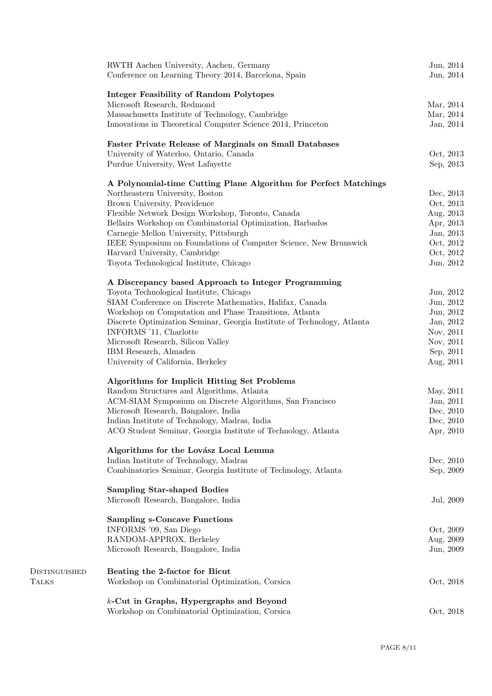| RWTH Aachen University, Aachen, Germany                                 | Jun, 2014 |
|-------------------------------------------------------------------------|-----------|
| Conference on Learning Theory 2014, Barcelona, Spain                    | Jun, 2014 |
| <b>Integer Feasibility of Random Polytopes</b>                          |           |
| Microsoft Research, Redmond                                             | Mar, 2014 |
| Massachusetts Institute of Technology, Cambridge                        | Mar, 2014 |
| Innovations in Theoretical Computer Science 2014, Princeton             | Jan, 2014 |
| <b>Faster Private Release of Marginals on Small Databases</b>           |           |
| University of Waterloo, Ontario, Canada                                 | Oct, 2013 |
| Purdue University, West Lafayette                                       | Sep, 2013 |
| A Polynomial-time Cutting Plane Algorithm for Perfect Matchings         |           |
| Northeastern University, Boston                                         | Dec, 2013 |
| Brown University, Providence                                            | Oct, 2013 |
| Flexible Network Design Workshop, Toronto, Canada                       | Aug, 2013 |
| Bellairs Workshop on Combinatorial Optimization, Barbados               | Apr, 2013 |
| Carnegie Mellon University, Pittsburgh                                  | Jan, 2013 |
| IEEE Symposium on Foundations of Computer Science, New Brunswick        | Oct, 2012 |
| Harvard University, Cambridge                                           | Oct, 2012 |
| Toyota Technological Institute, Chicago                                 | Jun, 2012 |
|                                                                         |           |
| A Discrepancy based Approach to Integer Programming                     |           |
| Toyota Technological Institute, Chicago                                 | Jun, 2012 |
| SIAM Conference on Discrete Mathematics, Halifax, Canada                | Jun, 2012 |
| Workshop on Computation and Phase Transitions, Atlanta                  | Jun, 2012 |
| Discrete Optimization Seminar, Georgia Institute of Technology, Atlanta | Jan, 2012 |
| INFORMS '11, Charlotte                                                  | Nov, 2011 |
| Microsoft Research, Silicon Valley                                      | Nov, 2011 |
| IBM Research, Almaden                                                   | Sep, 2011 |
| University of California, Berkeley                                      | Aug, 2011 |
| Algorithms for Implicit Hitting Set Problems                            |           |
| Random Structures and Algorithms, Atlanta                               | May, 2011 |
| ACM-SIAM Symposium on Discrete Algorithms, San Francisco                | Jan, 2011 |
| Microsoft Research, Bangalore, India                                    | Dec, 2010 |
| Indian Institute of Technology, Madras, India                           | Dec, 2010 |
| ACO Student Seminar, Georgia Institute of Technology, Atlanta           | Apr, 2010 |
| Algorithms for the Lovász Local Lemma                                   |           |
| Indian Institute of Technology, Madras                                  | Dec, 2010 |
| Combinatorics Seminar, Georgia Institute of Technology, Atlanta         | Sep, 2009 |
| <b>Sampling Star-shaped Bodies</b>                                      |           |
| Microsoft Research, Bangalore, India                                    | Jul, 2009 |
|                                                                         |           |
| <b>Sampling s-Concave Functions</b><br>INFORMS '09, San Diego           | Oct, 2009 |
| RANDOM-APPROX, Berkeley                                                 | Aug, 2009 |
|                                                                         |           |
| Microsoft Research, Bangalore, India                                    | Jun, 2009 |
| Beating the 2-factor for Bicut                                          |           |
| Workshop on Combinatorial Optimization, Corsica                         | Oct, 2018 |
| k-Cut in Graphs, Hypergraphs and Beyond                                 |           |
| Workshop on Combinatorial Optimization, Corsica                         | Oct, 2018 |
|                                                                         |           |

Distinguished

Talks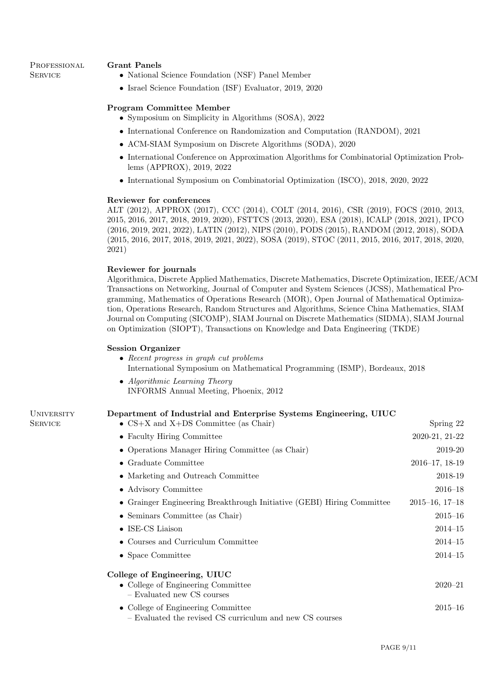### PROFESSIONAL **SERVICE**

**SERVICE** 

### Grant Panels

- National Science Foundation (NSF) Panel Member
- Israel Science Foundation (ISF) Evaluator, 2019, 2020

### Program Committee Member

- Symposium on Simplicity in Algorithms (SOSA), 2022
- International Conference on Randomization and Computation (RANDOM), 2021
- ACM-SIAM Symposium on Discrete Algorithms (SODA), 2020
- International Conference on Approximation Algorithms for Combinatorial Optimization Problems (APPROX), 2019, 2022
- International Symposium on Combinatorial Optimization (ISCO), 2018, 2020, 2022

### Reviewer for conferences

ALT (2012), APPROX (2017), CCC (2014), COLT (2014, 2016), CSR (2019), FOCS (2010, 2013, 2015, 2016, 2017, 2018, 2019, 2020), FSTTCS (2013, 2020), ESA (2018), ICALP (2018, 2021), IPCO (2016, 2019, 2021, 2022), LATIN (2012), NIPS (2010), PODS (2015), RANDOM (2012, 2018), SODA (2015, 2016, 2017, 2018, 2019, 2021, 2022), SOSA (2019), STOC (2011, 2015, 2016, 2017, 2018, 2020, 2021)

### Reviewer for journals

Algorithmica, Discrete Applied Mathematics, Discrete Mathematics, Discrete Optimization, IEEE/ACM Transactions on Networking, Journal of Computer and System Sciences (JCSS), Mathematical Programming, Mathematics of Operations Research (MOR), Open Journal of Mathematical Optimization, Operations Research, Random Structures and Algorithms, Science China Mathematics, SIAM Journal on Computing (SICOMP), SIAM Journal on Discrete Mathematics (SIDMA), SIAM Journal on Optimization (SIOPT), Transactions on Knowledge and Data Engineering (TKDE)

### Session Organizer

- Recent progress in graph cut problems International Symposium on Mathematical Programming (ISMP), Bordeaux, 2018
- Algorithmic Learning Theory INFORMS Annual Meeting, Phoenix, 2012

#### **UNIVERSITY** Department of Industrial and Enterprise Systems Engineering, UIUC

| • $CS+X$ and $X+DS$ Committee (as Chair)                                                       | Spring 22               |
|------------------------------------------------------------------------------------------------|-------------------------|
| • Faculty Hiring Committee                                                                     | 2020-21, 21-22          |
| • Operations Manager Hiring Committee (as Chair)                                               | 2019-20                 |
| $\bullet~$ Graduate Committee                                                                  | $2016 - 17, 18 - 19$    |
| • Marketing and Outreach Committee                                                             | 2018-19                 |
| • Advisory Committee                                                                           | $2016 - 18$             |
| • Grainger Engineering Breakthrough Initiative (GEBI) Hiring Committee                         | $2015 - 16$ , $17 - 18$ |
| • Seminars Committee (as Chair)                                                                | $2015 - 16$             |
| $\bullet$ ISE-CS Liaison                                                                       | $2014 - 15$             |
| • Courses and Curriculum Committee                                                             | $2014 - 15$             |
| • Space Committee                                                                              | $2014 - 15$             |
| College of Engineering, UIUC                                                                   |                         |
| • College of Engineering Committee<br>- Evaluated new CS courses                               | $2020 - 21$             |
| • College of Engineering Committee<br>- Evaluated the revised CS curriculum and new CS courses | $2015 - 16$             |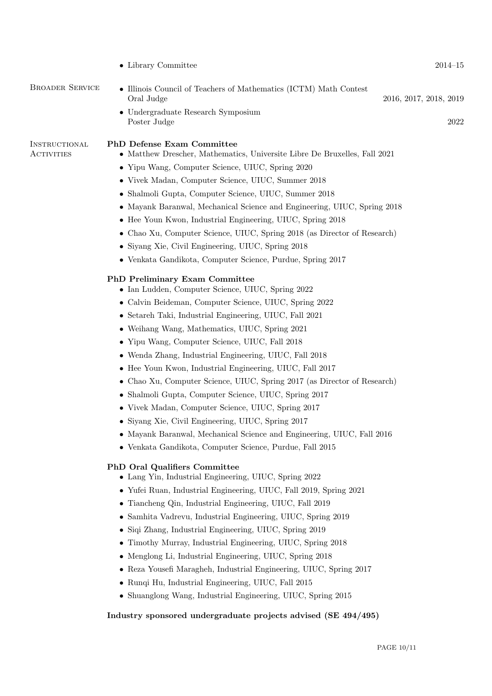| • Illinois Council of Teachers of Mathematics (ICTM) Math Contest<br>Oral Judge<br>Undergraduate Research Symposium<br>Poster Judge                                                                                                                                                                                                                                                                                                                                                                                                                                                                                                                                                                                                                                                                                        | 2016, 2017, 2018, 2019<br>2022 |
|----------------------------------------------------------------------------------------------------------------------------------------------------------------------------------------------------------------------------------------------------------------------------------------------------------------------------------------------------------------------------------------------------------------------------------------------------------------------------------------------------------------------------------------------------------------------------------------------------------------------------------------------------------------------------------------------------------------------------------------------------------------------------------------------------------------------------|--------------------------------|
| PhD Defense Exam Committee<br>• Matthew Drescher, Mathematics, Universite Libre De Bruxelles, Fall 2021<br>• Yipu Wang, Computer Science, UIUC, Spring 2020<br>• Vivek Madan, Computer Science, UIUC, Summer 2018<br>Shalmoli Gupta, Computer Science, UIUC, Summer 2018<br>$\bullet$<br>• Mayank Baranwal, Mechanical Science and Engineering, UIUC, Spring 2018<br>• Hee Youn Kwon, Industrial Engineering, UIUC, Spring 2018<br>Chao Xu, Computer Science, UIUC, Spring 2018 (as Director of Research)<br>٠<br>Siyang Xie, Civil Engineering, UIUC, Spring 2018<br>• Venkata Gandikota, Computer Science, Purdue, Spring 2017                                                                                                                                                                                           |                                |
| <b>PhD Preliminary Exam Committee</b><br>• Ian Ludden, Computer Science, UIUC, Spring 2022<br>• Calvin Beideman, Computer Science, UIUC, Spring 2022<br>• Setareh Taki, Industrial Engineering, UIUC, Fall 2021<br>• Weihang Wang, Mathematics, UIUC, Spring 2021<br>• Yipu Wang, Computer Science, UIUC, Fall 2018<br>Wenda Zhang, Industrial Engineering, UIUC, Fall 2018<br>• Hee Youn Kwon, Industrial Engineering, UIUC, Fall 2017<br>Chao Xu, Computer Science, UIUC, Spring 2017 (as Director of Research)<br>Shalmoli Gupta, Computer Science, UIUC, Spring 2017<br>• Vivek Madan, Computer Science, UIUC, Spring 2017<br>• Siyang Xie, Civil Engineering, UIUC, Spring 2017<br>• Mayank Baranwal, Mechanical Science and Engineering, UIUC, Fall 2016<br>• Venkata Gandikota, Computer Science, Purdue, Fall 2015 |                                |
| <b>PhD Oral Qualifiers Committee</b><br>• Lang Yin, Industrial Engineering, UIUC, Spring 2022<br>• Yufei Ruan, Industrial Engineering, UIUC, Fall 2019, Spring 2021<br>Tiancheng Qin, Industrial Engineering, UIUC, Fall 2019<br>Samhita Vadrevu, Industrial Engineering, UIUC, Spring 2019<br>Siqi Zhang, Industrial Engineering, UIUC, Spring 2019<br>Timothy Murray, Industrial Engineering, UIUC, Spring 2018<br>Menglong Li, Industrial Engineering, UIUC, Spring 2018<br>$\bullet$<br>• Reza Yousefi Maragheh, Industrial Engineering, UIUC, Spring 2017<br>Runqi Hu, Industrial Engineering, UIUC, Fall 2015<br>• Shuanglong Wang, Industrial Engineering, UIUC, Spring 2015<br>Industry sponsored undergraduate projects advised (SE 494/495)                                                                      |                                |
|                                                                                                                                                                                                                                                                                                                                                                                                                                                                                                                                                                                                                                                                                                                                                                                                                            |                                |